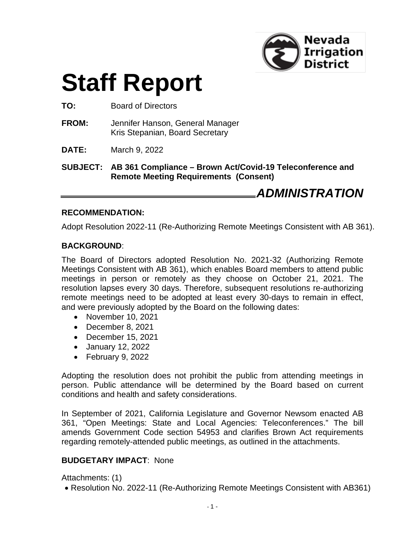

# **Staff Report**

**TO:** Board of Directors

- **FROM:** Jennifer Hanson, General Manager Kris Stepanian, Board Secretary
- **DATE:** March 9, 2022

**SUBJECT: AB 361 Compliance – Brown Act/Covid-19 Teleconference and Remote Meeting Requirements (Consent)**

*ADMINISTRATION*

#### **RECOMMENDATION:**

Adopt Resolution 2022-11 (Re-Authorizing Remote Meetings Consistent with AB 361).

#### **BACKGROUND**:

The Board of Directors adopted Resolution No. 2021-32 (Authorizing Remote Meetings Consistent with AB 361), which enables Board members to attend public meetings in person or remotely as they choose on October 21, 2021. The resolution lapses every 30 days. Therefore, subsequent resolutions re-authorizing remote meetings need to be adopted at least every 30-days to remain in effect, and were previously adopted by the Board on the following dates:

- November 10, 2021
- December 8, 2021
- December 15, 2021
- January 12, 2022
- February 9, 2022

Adopting the resolution does not prohibit the public from attending meetings in person. Public attendance will be determined by the Board based on current conditions and health and safety considerations.

In September of 2021, California Legislature and Governor Newsom enacted AB 361, "Open Meetings: State and Local Agencies: Teleconferences." The bill amends Government Code section 54953 and clarifies Brown Act requirements regarding remotely-attended public meetings, as outlined in the attachments.

#### **BUDGETARY IMPACT**: None

Attachments: (1)

• Resolution No. 2022-11 (Re-Authorizing Remote Meetings Consistent with AB361)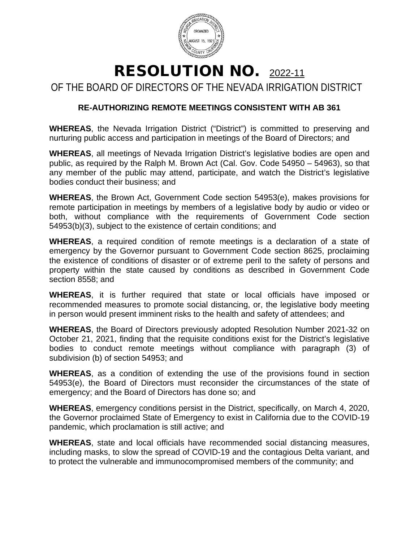

## RESOLUTION NO. 2022-11

OF THE BOARD OF DIRECTORS OF THE NEVADA IRRIGATION DISTRICT

### **RE-AUTHORIZING REMOTE MEETINGS CONSISTENT WITH AB 361**

**WHEREAS**, the Nevada Irrigation District ("District") is committed to preserving and nurturing public access and participation in meetings of the Board of Directors; and

**WHEREAS**, all meetings of Nevada Irrigation District's legislative bodies are open and public, as required by the Ralph M. Brown Act (Cal. Gov. Code 54950 – 54963), so that any member of the public may attend, participate, and watch the District's legislative bodies conduct their business; and

**WHEREAS**, the Brown Act, Government Code section 54953(e), makes provisions for remote participation in meetings by members of a legislative body by audio or video or both, without compliance with the requirements of Government Code section 54953(b)(3), subject to the existence of certain conditions; and

**WHEREAS**, a required condition of remote meetings is a declaration of a state of emergency by the Governor pursuant to Government Code section 8625, proclaiming the existence of conditions of disaster or of extreme peril to the safety of persons and property within the state caused by conditions as described in Government Code section 8558; and

**WHEREAS**, it is further required that state or local officials have imposed or recommended measures to promote social distancing, or, the legislative body meeting in person would present imminent risks to the health and safety of attendees; and

**WHEREAS**, the Board of Directors previously adopted Resolution Number 2021-32 on October 21, 2021, finding that the requisite conditions exist for the District's legislative bodies to conduct remote meetings without compliance with paragraph (3) of subdivision (b) of section 54953; and

**WHEREAS**, as a condition of extending the use of the provisions found in section 54953(e), the Board of Directors must reconsider the circumstances of the state of emergency; and the Board of Directors has done so; and

**WHEREAS**, emergency conditions persist in the District, specifically, on March 4, 2020, the Governor proclaimed State of Emergency to exist in California due to the COVID-19 pandemic, which proclamation is still active; and

**WHEREAS**, state and local officials have recommended social distancing measures, including masks, to slow the spread of COVID-19 and the contagious Delta variant, and to protect the vulnerable and immunocompromised members of the community; and